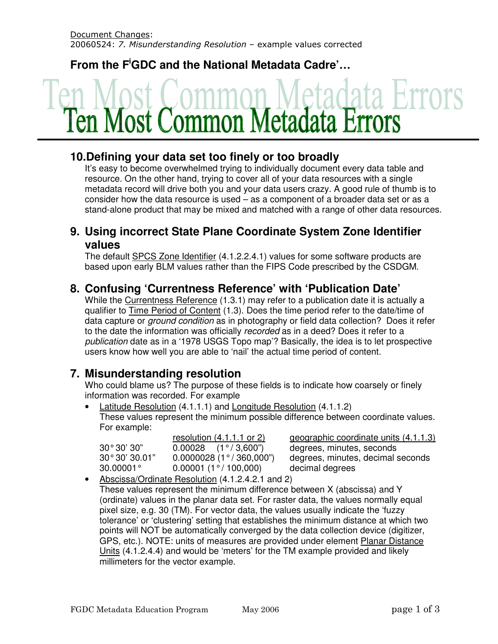**From the F<sup>i</sup>GDC and the National Metadata Cadre'…**

# Most Common Metadata Er

# **10.Defining your data set too finely or too broadly**

It's easy to become overwhelmed trying to individually document every data table and resource. On the other hand, trying to cover all of your data resources with a single metadata record will drive both you and your data users crazy. A good rule of thumb is to consider how the data resource is used – as a component of a broader data set or as a stand-alone product that may be mixed and matched with a range of other data resources.

## **9. Using incorrect State Plane Coordinate System Zone Identifier values**

The default SPCS Zone Identifier (4.1.2.2.4.1) values for some software products are based upon early BLM values rather than the FIPS Code prescribed by the CSDGM.

# **8. Confusing 'Currentness Reference' with 'Publication Date'**

While the Currentness Reference (1.3.1) may refer to a publication date it is actually a qualifier to Time Period of Content (1.3). Does the time period refer to the date/time of data capture or *ground condition* as in photography or field data collection? Does it refer to the date the information was officially recorded as in a deed? Does it refer to a publication date as in a '1978 USGS Topo map'? Basically, the idea is to let prospective users know how well you are able to 'nail' the actual time period of content.

## **7. Misunderstanding resolution**

 Who could blame us? The purpose of these fields is to indicate how coarsely or finely information was recorded. For example

• Latitude Resolution (4.1.1.1) and Longitude Resolution (4.1.1.2) These values represent the minimum possible difference between coordinate values. For example:

|                       | resolution $(4.1.1.1 \text{ or } 2)$  | geographic coordinate units (4.1.1.3) |
|-----------------------|---------------------------------------|---------------------------------------|
| 30°30'30"             | $0.00028$ $(1^{\circ}/3,600^{\circ})$ | degrees, minutes, seconds             |
| $30^{\circ}30'30.01"$ | $0.0000028$ (1°/360,000")             | degrees, minutes, decimal seconds     |
| $30.00001^{\circ}$    | $0.00001(1^{\circ}/100,000)$          | decimal degrees                       |
|                       |                                       |                                       |

• Abscissa/Ordinate Resolution (4.1.2.4.2.1 and 2) These values represent the minimum difference between X (abscissa) and Y (ordinate) values in the planar data set. For raster data, the values normally equal pixel size, e.g. 30 (TM). For vector data, the values usually indicate the 'fuzzy tolerance' or 'clustering' setting that establishes the minimum distance at which two points will NOT be automatically converged by the data collection device (digitizer, GPS, etc.). NOTE: units of measures are provided under element Planar Distance Units (4.1.2.4.4) and would be 'meters' for the TM example provided and likely millimeters for the vector example.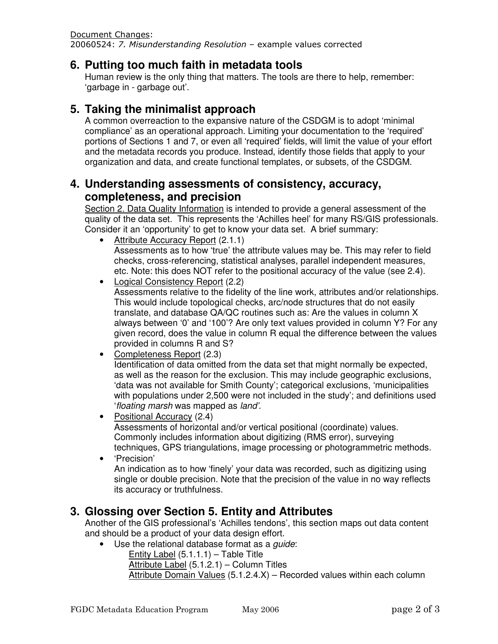Document Changes:

20060524: 7. Misunderstanding Resolution – example values corrected

#### **6. Putting too much faith in metadata tools**

Human review is the only thing that matters. The tools are there to help, remember: 'garbage in - garbage out'.

### **5. Taking the minimalist approach**

A common overreaction to the expansive nature of the CSDGM is to adopt 'minimal compliance' as an operational approach. Limiting your documentation to the 'required' portions of Sections 1 and 7, or even all 'required' fields, will limit the value of your effort and the metadata records you produce. Instead, identify those fields that apply to your organization and data, and create functional templates, or subsets, of the CSDGM.

#### **4. Understanding assessments of consistency, accuracy, completeness, and precision**

Section 2. Data Quality Information is intended to provide a general assessment of the quality of the data set. This represents the 'Achilles heel' for many RS/GIS professionals. Consider it an 'opportunity' to get to know your data set. A brief summary:

- Attribute Accuracy Report (2.1.1) Assessments as to how 'true' the attribute values may be. This may refer to field checks, cross-referencing, statistical analyses, parallel independent measures, etc. Note: this does NOT refer to the positional accuracy of the value (see 2.4).
- Logical Consistency Report (2.2)

Assessments relative to the fidelity of the line work, attributes and/or relationships. This would include topological checks, arc/node structures that do not easily translate, and database QA/QC routines such as: Are the values in column X always between '0' and '100'? Are only text values provided in column Y? For any given record, does the value in column R equal the difference between the values provided in columns R and S?

- Completeness Report (2.3) Identification of data omitted from the data set that might normally be expected, as well as the reason for the exclusion. This may include geographic exclusions, 'data was not available for Smith County'; categorical exclusions, 'municipalities with populations under 2,500 were not included in the study'; and definitions used 'floating marsh was mapped as land'.
- Positional Accuracy (2.4) Assessments of horizontal and/or vertical positional (coordinate) values. Commonly includes information about digitizing (RMS error), surveying techniques, GPS triangulations, image processing or photogrammetric methods.
- 'Precision' An indication as to how 'finely' your data was recorded, such as digitizing using single or double precision. Note that the precision of the value in no way reflects its accuracy or truthfulness.

## **3. Glossing over Section 5. Entity and Attributes**

Another of the GIS professional's 'Achilles tendons', this section maps out data content and should be a product of your data design effort.

- Use the relational database format as a *quide*:
	- Entity Label (5.1.1.1) Table Title
	- Attribute Label (5.1.2.1) Column Titles
	- Attribute Domain Values (5.1.2.4.X) Recorded values within each column